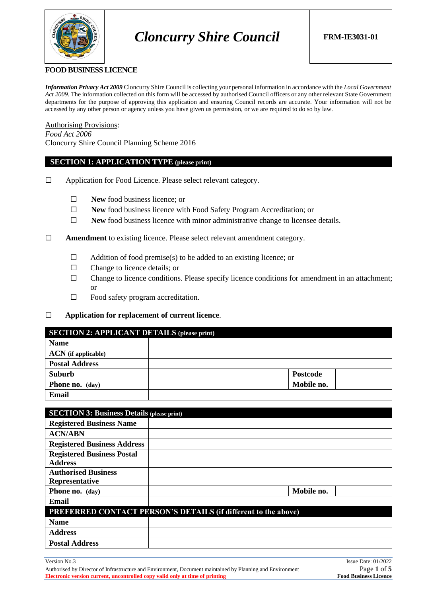

#### **FOOD BUSINESS LICENCE**

*Information Privacy Act 2009* Cloncurry Shire Council is collecting your personal information in accordance with the *Local Government Act 2009*. The information collected on this form will be accessed by authorised Council officers or any other relevant State Government departments for the purpose of approving this application and ensuring Council records are accurate. Your information will not be accessed by any other person or agency unless you have given us permission, or we are required to do so by law.

Authorising Provisions: *Food Act 2006* Cloncurry Shire Council Planning Scheme 2016

#### **SECTION 1: APPLICATION TYPE (please print)**

- ☐ Application for Food Licence. Please select relevant category.
	- ☐ **New** food business licence; or
	- ☐ **New** food business licence with Food Safety Program Accreditation; or
	- ☐ **New** food business licence with minor administrative change to licensee details.

☐ **Amendment** to existing licence. Please select relevant amendment category.

- $\Box$  Addition of food premise(s) to be added to an existing licence; or
- ☐ Change to licence details; or
- $\Box$  Change to licence conditions. Please specify licence conditions for amendment in an attachment; or
- $\Box$  Food safety program accreditation.
- ☐ **Application for replacement of current licence**.

#### **SECTION 2: APPLICANT DETAILS (please print)**

| <b>Name</b>            |                 |
|------------------------|-----------------|
| $ACN$ (if applicable)  |                 |
| <b>Postal Address</b>  |                 |
| Suburb                 | <b>Postcode</b> |
| <b>Phone no.</b> (day) | Mobile no.      |
| <b>Email</b>           |                 |

| <b>SECTION 3: Business Details (please print)</b> |                                                                       |
|---------------------------------------------------|-----------------------------------------------------------------------|
| <b>Registered Business Name</b>                   |                                                                       |
| <b>ACN/ABN</b>                                    |                                                                       |
| <b>Registered Business Address</b>                |                                                                       |
| <b>Registered Business Postal</b>                 |                                                                       |
| <b>Address</b>                                    |                                                                       |
| <b>Authorised Business</b>                        |                                                                       |
| <b>Representative</b>                             |                                                                       |
| Phone no. (day)                                   | Mobile no.                                                            |
| Email                                             |                                                                       |
|                                                   | <b>PREFERRED CONTACT PERSON'S DETAILS (if different to the above)</b> |
| <b>Name</b>                                       |                                                                       |
| <b>Address</b>                                    |                                                                       |
| <b>Postal Address</b>                             |                                                                       |

Authorised by Director of Infrastructure and Environment, Document maintained by Planning and Environment Page **1** of **5 Electronic version current, uncontrolled copy valid only at time of printing Food Business Licence**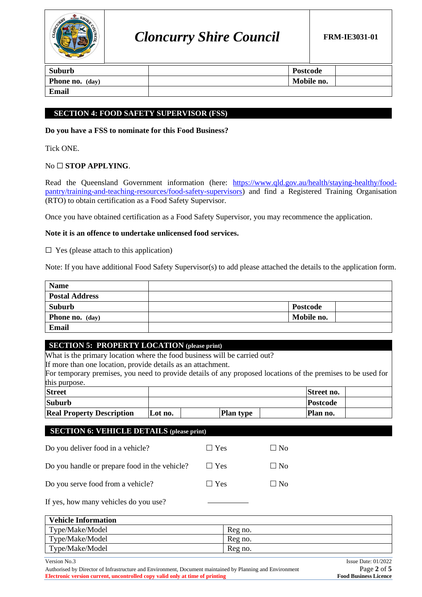

| Suburb          | Postcode   |  |
|-----------------|------------|--|
| Phone no. (day) | Mobile no. |  |
| <b>Email</b>    |            |  |

## **SECTION 4: FOOD SAFETY SUPERVISOR (FSS)**

**Do you have a FSS to nominate for this Food Business?** 

Tick ONE.

## No ☐ **STOP APPLYING**.

Read the Queensland Government information (here: [https://www.qld.gov.au/health/staying-healthy/food](https://www.qld.gov.au/health/staying-healthy/food-pantry/training-and-teaching-resources/food-safety-supervisors)[pantry/training-and-teaching-resources/food-safety-supervisors\)](https://www.qld.gov.au/health/staying-healthy/food-pantry/training-and-teaching-resources/food-safety-supervisors) and find a Registered Training Organisation (RTO) to obtain certification as a Food Safety Supervisor.

Once you have obtained certification as a Food Safety Supervisor, you may recommence the application.

#### **Note it is an offence to undertake unlicensed food services.**

 $\Box$  Yes (please attach to this application)

Note: If you have additional Food Safety Supervisor(s) to add please attached the details to the application form.

| <b>Name</b>            |                 |  |
|------------------------|-----------------|--|
| <b>Postal Address</b>  |                 |  |
| Suburb                 | <b>Postcode</b> |  |
| <b>Phone no.</b> (day) | Mobile no.      |  |
| Email                  |                 |  |

#### **SECTION 5: PROPERTY LOCATION (please print)**

What is the primary location where the food business will be carried out?

If more than one location, provide details as an attachment.

For temporary premises, you need to provide details of any proposed locations of the premises to be used for this purpose.

| <b>Street</b>                    |         |                  | Street no. |  |
|----------------------------------|---------|------------------|------------|--|
| <b>Suburb</b>                    |         |                  | Postcode   |  |
| <b>Real Property Description</b> | Lot no. | <b>Plan type</b> | Plan no.   |  |

#### **SECTION 6: VEHICLE DETAILS (please print)**

| Do you deliver food in a vehicle?             | $\Box$ Yes | $\Box$ No |
|-----------------------------------------------|------------|-----------|
| Do you handle or prepare food in the vehicle? | $\Box$ Yes | $\Box$ No |
| Do you serve food from a vehicle?             | $\Box$ Yes | $\Box$ No |
|                                               |            |           |

If yes, how many vehicles do you use?

| <b>Vehicle Information</b> |         |  |  |  |
|----------------------------|---------|--|--|--|
| Type/Make/Model            | Reg no. |  |  |  |
| Type/Make/Model            | Reg no. |  |  |  |
| Type/Make/Model            | Reg no. |  |  |  |

Authorised by Director of Infrastructure and Environment, Document maintained by Planning and Environment Page **2** of **5 Electronic version current, uncontrolled copy valid only at time of printing Food Business Licence**

Version No.3 Issue Date: 01/2022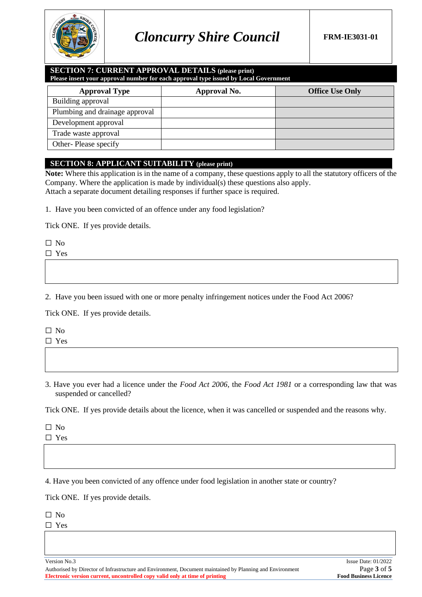

#### **SECTION 7: CURRENT APPROVAL DETAILS (please print) Please insert your approval number for each approval type issued by Local Government**

| <b>Approval Type</b>           | Approval No. | <b>Office Use Only</b> |
|--------------------------------|--------------|------------------------|
| Building approval              |              |                        |
| Plumbing and drainage approval |              |                        |
| Development approval           |              |                        |
| Trade waste approval           |              |                        |
| Other-Please specify           |              |                        |

## **SECTION 8: APPLICANT SUITABILITY (please print)**

**Note:** Where this application is in the name of a company, these questions apply to all the statutory officers of the Company. Where the application is made by individual(s) these questions also apply. Attach a separate document detailing responses if further space is required.

1. Have you been convicted of an offence under any food legislation?

Tick ONE. If yes provide details.

 $\Box$  No

☐ Yes

2. Have you been issued with one or more penalty infringement notices under the Food Act 2006?

Tick ONE. If yes provide details.

☐ No

☐ Yes

3. Have you ever had a licence under the *Food Act 2006*, the *Food Act 1981* or a corresponding law that was suspended or cancelled?

Tick ONE. If yes provide details about the licence, when it was cancelled or suspended and the reasons why.

☐ No

☐ Yes

4. Have you been convicted of any offence under food legislation in another state or country?

Tick ONE. If yes provide details.

☐ No

☐ Yes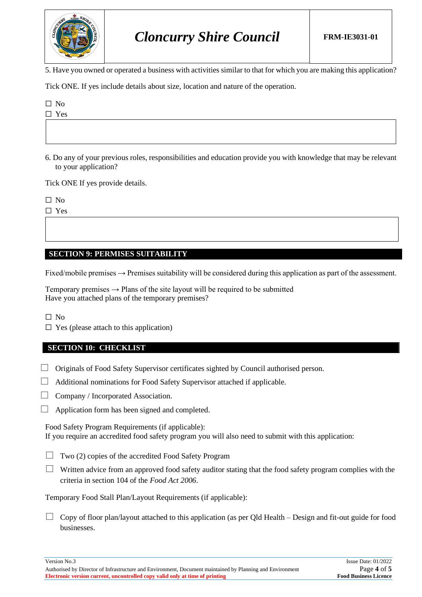

# *Cloncurry Shire Council* **FRM-IE3031-01**

5. Have you owned or operated a business with activities similar to that for which you are making this application?

Tick ONE. If yes include details about size, location and nature of the operation.

☐ No

☐ Yes

6. Do any of your previous roles, responsibilities and education provide you with knowledge that may be relevant to your application?

Tick ONE If yes provide details.

☐ No

☐ Yes

## **SECTION 9: PERMISES SUITABILITY**

Fixed/mobile premises  $\rightarrow$  Premises suitability will be considered during this application as part of the assessment.

Temporary premises  $\rightarrow$  Plans of the site layout will be required to be submitted Have you attached plans of the temporary premises?

☐ No

 $\Box$  Yes (please attach to this application)

#### **SECTION 10: CHECKLIST**

 $\Box$  Originals of Food Safety Supervisor certificates sighted by Council authorised person.

 $\Box$  Additional nominations for Food Safety Supervisor attached if applicable.

- $\Box$  Company / Incorporated Association.
- $\Box$  Application form has been signed and completed.

Food Safety Program Requirements (if applicable): If you require an accredited food safety program you will also need to submit with this application:

- $\Box$  Two (2) copies of the accredited Food Safety Program
- $\Box$  Written advice from an approved food safety auditor stating that the food safety program complies with the criteria in section 104 of the *Food Act 2006*.

Temporary Food Stall Plan/Layout Requirements (if applicable):

 $\Box$  Copy of floor plan/layout attached to this application (as per Old Health – Design and fit-out guide for food businesses.